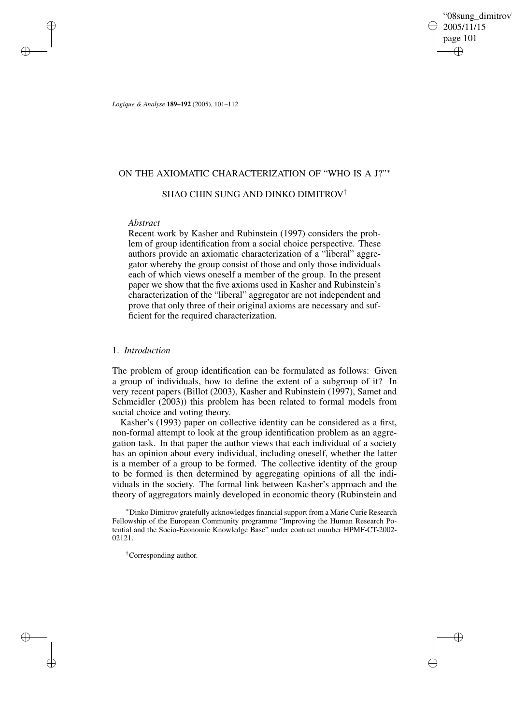"08sung\_dimitrov" 2005/11/15 page 101 ✐ ✐

✐

✐

*Logique & Analyse* **189–192** (2005), 101–112

## ON THE AXIOMATIC CHARACTERIZATION OF "WHO IS A J?"<sup>∗</sup>

# SHAO CHIN SUNG AND DINKO DIMITROV †

## *Abstract*

✐

✐

✐

✐

Recent work by Kasher and Rubinstein (1997) considers the problem of group identification from a social choice perspective. These authors provide an axiomatic characterization of a "liberal" aggregator whereby the group consist of those and only those individuals each of which views oneself a member of the group. In the present paper we show that the five axioms used in Kasher and Rubinstein's characterization of the "liberal" aggregator are not independent and prove that only three of their original axioms are necessary and sufficient for the required characterization.

## 1. *Introduction*

The problem of group identification can be formulated as follows: Given a group of individuals, how to define the extent of a subgroup of it? In very recent papers (Billot (2003), Kasher and Rubinstein (1997), Samet and Schmeidler (2003)) this problem has been related to formal models from social choice and voting theory.

Kasher's (1993) paper on collective identity can be considered as a first, non-formal attempt to look at the group identification problem as an aggregation task. In that paper the author views that each individual of a society has an opinion about every individual, including oneself, whether the latter is a member of a group to be formed. The collective identity of the group to be formed is then determined by aggregating opinions of all the individuals in the society. The formal link between Kasher's approach and the theory of aggregators mainly developed in economic theory (Rubinstein and

<sup>∗</sup>Dinko Dimitrov gratefully acknowledges financial support from a Marie Curie Research Fellowship of the European Community programme "Improving the Human Research Potential and the Socio-Economic Knowledge Base" under contract number HPMF-CT-2002- 02121.

†Corresponding author.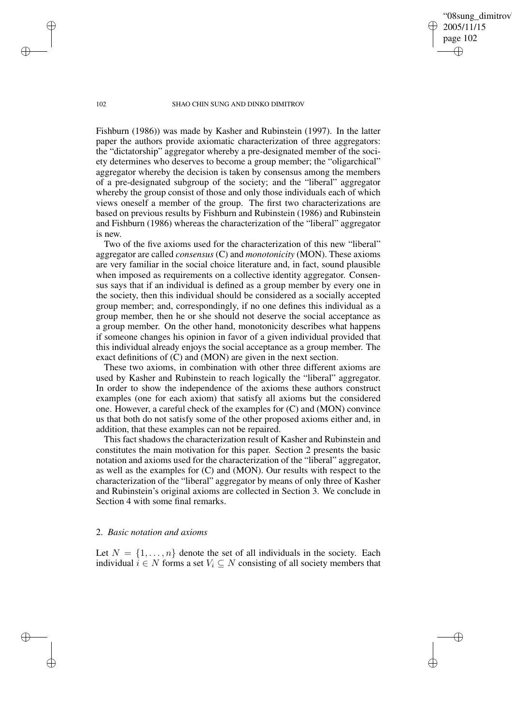'08sung\_dimitrov 2005/11/15 page 102 ✐ ✐

✐

✐

#### 102 SHAO CHIN SUNG AND DINKO DIMITROV

Fishburn (1986)) was made by Kasher and Rubinstein (1997). In the latter paper the authors provide axiomatic characterization of three aggregators: the "dictatorship" aggregator whereby a pre-designated member of the society determines who deserves to become a group member; the "oligarchical" aggregator whereby the decision is taken by consensus among the members of a pre-designated subgroup of the society; and the "liberal" aggregator whereby the group consist of those and only those individuals each of which views oneself a member of the group. The first two characterizations are based on previous results by Fishburn and Rubinstein (1986) and Rubinstein and Fishburn (1986) whereas the characterization of the "liberal" aggregator is new.

Two of the five axioms used for the characterization of this new "liberal" aggregator are called *consensus* (C) and *monotonicity* (MON). These axioms are very familiar in the social choice literature and, in fact, sound plausible when imposed as requirements on a collective identity aggregator. Consensus says that if an individual is defined as a group member by every one in the society, then this individual should be considered as a socially accepted group member; and, correspondingly, if no one defines this individual as a group member, then he or she should not deserve the social acceptance as a group member. On the other hand, monotonicity describes what happens if someone changes his opinion in favor of a given individual provided that this individual already enjoys the social acceptance as a group member. The exact definitions of (C) and (MON) are given in the next section.

These two axioms, in combination with other three different axioms are used by Kasher and Rubinstein to reach logically the "liberal" aggregator. In order to show the independence of the axioms these authors construct examples (one for each axiom) that satisfy all axioms but the considered one. However, a careful check of the examples for (C) and (MON) convince us that both do not satisfy some of the other proposed axioms either and, in addition, that these examples can not be repaired.

This fact shadows the characterization result of Kasher and Rubinstein and constitutes the main motivation for this paper. Section 2 presents the basic notation and axioms used for the characterization of the "liberal" aggregator, as well as the examples for (C) and (MON). Our results with respect to the characterization of the "liberal" aggregator by means of only three of Kasher and Rubinstein's original axioms are collected in Section 3. We conclude in Section 4 with some final remarks.

## 2. *Basic notation and axioms*

Let  $N = \{1, \ldots, n\}$  denote the set of all individuals in the society. Each individual  $i \in N$  forms a set  $V_i \subseteq N$  consisting of all society members that

✐

✐

✐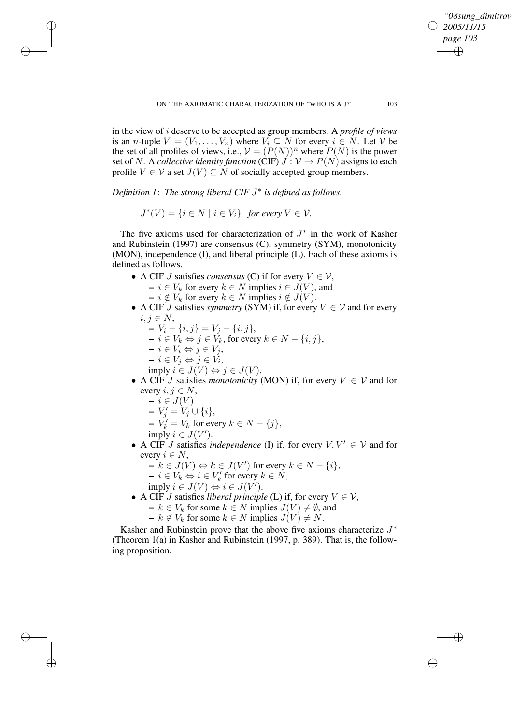✐

in the view of i deserve to be accepted as group members. A *profile of views* is an *n*-tuple  $V = (V_1, \ldots, V_n)$  where  $V_i \subseteq N$  for every  $i \in N$ . Let V be the set of all profiles of views, i.e.,  $V = (P(N))^n$  where  $P(N)$  is the power set of N. A *collective identity function* (CIF)  $J: V \to P(N)$  assigns to each profile  $V \in V$  a set  $J(V) \subseteq N$  of socially accepted group members.

*Definition 1*: *The strong liberal CIF* J ∗ *is defined as follows.*

 $J^*(V) = \{i \in N \mid i \in V_i\}$  *for every*  $V \in V$ *.* 

The five axioms used for characterization of  $J^*$  in the work of Kasher and Rubinstein (1997) are consensus (C), symmetry (SYM), monotonicity (MON), independence (I), and liberal principle (L). Each of these axioms is defined as follows.

- A CIF *J* satisfies *consensus* (C) if for every  $V \in V$ ,
	- $\mathbf{I} \in V_k$  for every  $k \in N$  implies  $i \in J(V)$ , and
	- $i \notin V_k$  for every  $k \in N$  implies  $i \notin J(V)$ .
- A CIF J satisfies *symmetry* (SYM) if, for every  $V \in V$  and for every  $i, j \in N$ ,
	- **–**  $V_i \{i, j\} = V_j \{i, j\},\$
	- $i \in V_k$  ⇔  $j \in V_k$ , for every  $k \in N \{i, j\}$ ,
	- **–** i ∈ V<sup>i</sup> ⇔ j ∈ V<sup>j</sup> ,

✐

✐

✐

✐

- $-i \in V_j \Leftrightarrow j \in V_i$
- imply  $i \in J(V) \Leftrightarrow j \in J(V)$ .
- A CIF *J* satisfies *monotonicity* (MON) if, for every  $V \in V$  and for every  $i, j \in N$ ,
	- $i ∈ J(V)$
	- $-V'_{j} = V_{j} \cup \{i\},\$
	- $-V_k' = V_k$  for every  $k \in N \{j\},\$

$$
imply \ i \in J(V').
$$

- A CIF *J* satisfies *independence* (I) if, for every  $V, V' \in V$  and for every  $i \in N$ ,
	- $\overline{\phantom{a}}$   $k \in J(V) \Leftrightarrow k \in J(V')$  for every  $k \in N \{i\},\$
	- $i \in V_k \Leftrightarrow i \in V'_k$  for every  $k \in N$ ,
	- imply  $i \in J(V) \Leftrightarrow i \in J(V')$ .
- A CIF *J* satisfies *liberal principle* (L) if, for every  $V \in V$ ,
	- **−**  $k \in V_k$  for some  $k \in N$  implies  $J(V) \neq \emptyset$ , and
		- **−**  $k \notin V_k$  for some  $k \in N$  implies  $J(V) \neq N$ .

Kasher and Rubinstein prove that the above five axioms characterize  $J^*$ (Theorem 1(a) in Kasher and Rubinstein (1997, p. 389). That is, the following proposition.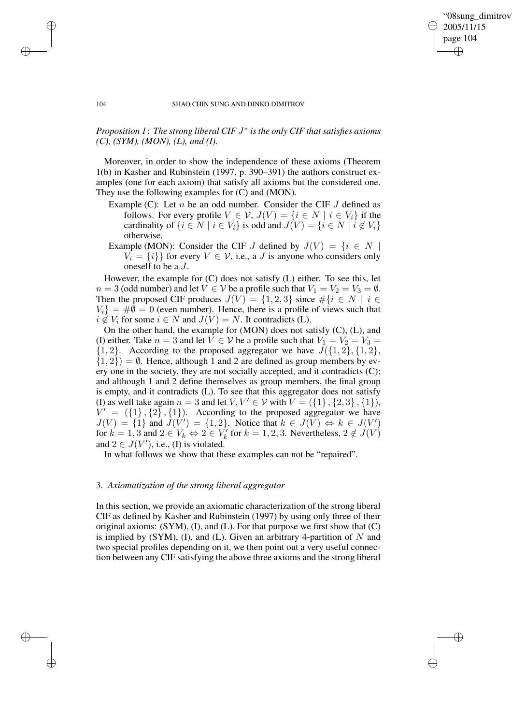✐

#### 104 SHAO CHIN SUNG AND DINKO DIMITROV

## *Proposition 1*: *The strong liberal CIF* J ∗ *isthe only CIF thatsatisfies axioms (C), (SYM), (MON), (L), and (I).*

Moreover, in order to show the independence of these axioms (Theorem 1(b) in Kasher and Rubinstein (1997, p. 390–391) the authors construct examples (one for each axiom) that satisfy all axioms but the considered one. They use the following examples for (C) and (MON).

- Example (C): Let  $n$  be an odd number. Consider the CIF  $J$  defined as follows. For every profile  $V \in V$ ,  $J(V) = \{i \in N \mid i \in V_i\}$  if the cardinality of  $\{i \in N \mid i \in V_i\}$  is odd and  $J(V) = \{i \in N \mid i \notin V_i\}$ otherwise.
- Example (MON): Consider the CIF J defined by  $J(V) = \{i \in N \mid$  $V_i = \{i\}$  for every  $V \in V$ , i.e., a J is anyone who considers only oneself to be a J.

However, the example for (C) does not satisfy (L) either. To see this, let  $n = 3$  (odd number) and let  $V \in V$  be a profile such that  $V_1 = V_2 = V_3 = \emptyset$ . Then the proposed CIF produces  $J(V) = \{1, 2, 3\}$  since  $\#\{i \in N \mid i \in$  $V_i$ } = # $\emptyset$  = 0 (even number). Hence, there is a profile of views such that  $i \notin V_i$  for some  $i \in N$  and  $J(V) = N$ . It contradicts (L).

On the other hand, the example for (MON) does not satisfy (C), (L), and (I) either. Take  $n = 3$  and let  $V \in V$  be a profile such that  $V_1 = V_2 = V_3$  $\{1, 2\}$ . According to the proposed aggregator we have  $J(\{1, 2\}, \{1, 2\})$ ,  $\{1, 2\}$ ) =  $\emptyset$ . Hence, although 1 and 2 are defined as group members by every one in the society, they are not socially accepted, and it contradicts (C); and although 1 and 2 define themselves as group members, the final group is empty, and it contradicts (L). To see that this aggregator does not satisfy (I) as well take again  $n = 3$  and let  $V, V' \in V$  with  $V = (\{1\}, \{2, 3\}, \{1\}),$  $V' = (\{1\}, \{2\}, \{1\}).$  According to the proposed aggregator we have  $J(V) = \{1\}$  and  $J(V') = \{1, 2\}$ . Notice that  $k \in J(V) \Leftrightarrow k \in J(V')$ for  $k = 1, 3$  and  $2 \in V_k \Leftrightarrow 2 \in V'_k$  for  $k = 1, 2, 3$ . Nevertheless,  $2 \notin J(V)$ and  $2 \in J(V')$ , i.e., (I) is violated.

In what follows we show that these examples can not be "repaired".

## 3. *Axiomatization of the strong liberal aggregator*

In this section, we provide an axiomatic characterization of the strong liberal CIF as defined by Kasher and Rubinstein (1997) by using only three of their original axioms: (SYM), (I), and (L). For that purpose we first show that (C) is implied by (SYM), (I), and (L). Given an arbitrary 4-partition of  $N$  and two special profiles depending on it, we then point out a very useful connection between any CIF satisfying the above three axioms and the strong liberal

✐

✐

✐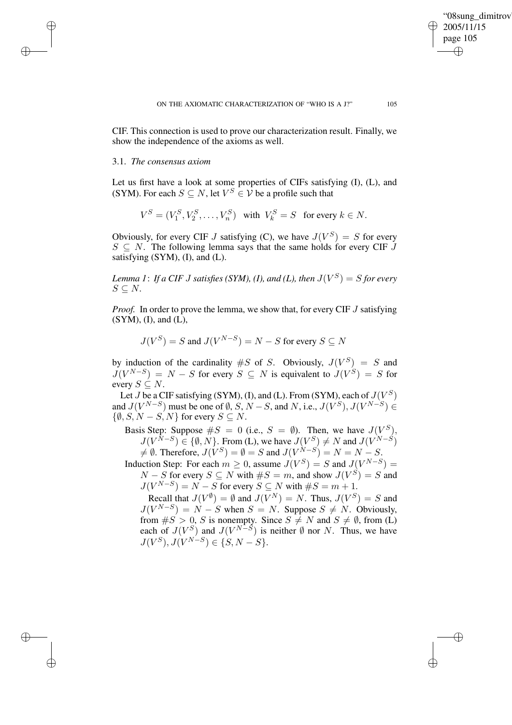✐

CIF. This connection is used to prove our characterization result. Finally, we show the independence of the axioms as well.

#### 3.1. *The consensus axiom*

✐

✐

✐

✐

Let us first have a look at some properties of CIFs satisfying (I), (L), and (SYM). For each  $S \subseteq N$ , let  $V^S \in \mathcal{V}$  be a profile such that

$$
V^S = (V_1^S, V_2^S, \dots, V_n^S) \text{ with } V_k^S = S \text{ for every } k \in N.
$$

Obviously, for every CIF J satisfying (C), we have  $J(V^S) = S$  for every  $S \subseteq N$ . The following lemma says that the same holds for every CIF  $\overline{J}$ satisfying  $(SYM)$ ,  $(I)$ , and  $(L)$ .

Lemma 1: If a CIF J satisfies (SYM), (1), and (L), then  $J(V^S)=S$  for every  $S \subseteq N$ .

*Proof.* In order to prove the lemma, we show that, for every CIF J satisfying (SYM), (I), and (L),

$$
J(V^S) = S \text{ and } J(V^{N-S}) = N - S \text{ for every } S \subseteq N
$$

by induction of the cardinality  $\#S$  of S. Obviously,  $J(V^S) = S$  and  $J(V^{N-S}) = N - S$  for every  $S \subseteq N$  is equivalent to  $J(V^S) = S$  for every  $S \subseteq N$ .

Let  $J$  be a CIF satisfying (SYM), (I), and (L). From (SYM), each of  $J(V^S)$ and  $J(V^{N-S})$  must be one of  $\emptyset$ , S, N – S, and N, i.e.,  $J(V^S)$ ,  $J(V^{N-S}) \in$  $\{\emptyset, S, N - S, N\}$  for every  $S \subseteq N$ .

Basis Step: Suppose  $\#S = 0$  (i.e.,  $S = \emptyset$ ). Then, we have  $J(V^S)$ ,  $J(V^{N-S}) \in \{\emptyset, N\}$ . From (L), we have  $J(V^S) \neq N$  and  $J(V^{N-S})$  $\neq \emptyset$ . Therefore,  $J(V^S) = \emptyset = S$  and  $J(V^{N-S}) = N = N - S$ .

Induction Step: For each  $m \ge 0$ , assume  $J(V^S) = S$  and  $J(V^{N-S}) =$  $N-S$  for every  $S \subseteq N$  with  $\#S = m$ , and show  $J(V^S) = S$  and  $J(V^{N-S}) = N - S$  for every  $S \subseteq N$  with  $\#S = m + 1$ .

Recall that  $J(V^{\emptyset}) = \emptyset$  and  $J(V^N) = N$ . Thus,  $J(V^S) = S$  and  $J(V^{N-S}) = N - S$  when  $S = N$ . Suppose  $S \neq N$ . Obviously, from  $\#S > 0$ , S is nonempty. Since  $S \neq N$  and  $S \neq \emptyset$ , from (L) each of  $J(V^S)$  and  $J(V^{N-S})$  is neither  $\emptyset$  nor N. Thus, we have  $J(V^S), J(V^{N-S}) \in \{S, N-S\}.$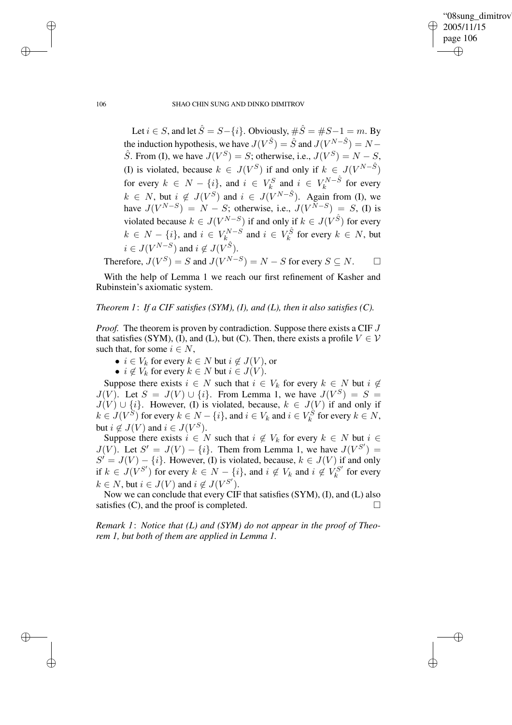✐

#### 106 SHAO CHIN SUNG AND DINKO DIMITROV

Let  $i \in S$ , and let  $\hat{S} = S - \{i\}$ . Obviously,  $\#\hat{S} = \#S - 1 = m$ . By the induction hypothesis, we have  $J(V^{\hat{S}}) = \hat{S}$  and  $J(V^{N-\hat{S}}) = N \hat{S}$ . From (I), we have  $J(V^S) = S$ ; otherwise, i.e.,  $J(V^S) = N - S$ , (I) is violated, because  $k \in J(V^S)$  if and only if  $k \in J(V^{N-S})$ for every  $k \in N - \{i\}$ , and  $i \in V_k^S$  and  $i \in V_k^{N-\hat{S}}$  $k^{N-S}$  for every  $k \in N$ , but  $i \notin J(V^S)$  and  $i \in J(V^{N-\hat{S}})$ . Again from (I), we have  $J(V^{N-S}) = N - S$ ; otherwise, i.e.,  $J(V^{N-S}) = S$ , (I) is violated because  $k \in J(V^{N-S})$  if and only if  $k \in J(V^{\hat{S}})$  for every  $k \in N - \{i\}$ , and  $i \in V_k^{N-S}$  $k_{k}^{N-S}$  and  $i \in V_k^{\hat{S}}$  for every  $k \in N$ , but  $i \in J(V^{N-S})$  and  $i \notin J(V^{\hat{S}})$ .

Therefore,  $J(V^S) = S$  and  $J(V^{N-S}) = N - S$  for every  $S \subseteq N$ .  $\Box$ 

With the help of Lemma 1 we reach our first refinement of Kasher and Rubinstein's axiomatic system.

## *Theorem 1*: *If a CIF satisfies (SYM), (I), and (L), then it also satisfies (C).*

*Proof.* The theorem is proven by contradiction. Suppose there exists a CIF J that satisfies (SYM), (I), and (L), but (C). Then, there exists a profile  $V \in V$ such that, for some  $i \in N$ ,

- $i \in V_k$  for every  $k \in N$  but  $i \notin J(V)$ , or
- $i \notin V_k$  for every  $k \in N$  but  $i \in J(V)$ .

Suppose there exists  $i \in N$  such that  $i \in V_k$  for every  $k \in N$  but  $i \notin$  $J(V)$ . Let  $S = J(V) \cup \{i\}$ . From Lemma 1, we have  $J(V^S) = S =$  $J(V) \cup \{i\}$ . However, (I) is violated, because,  $k \in J(V)$  if and only if  $k \in J(V^S)$  for every  $k \in N - \{i\}$ , and  $i \in V_k$  and  $i \in V_k^S$  for every  $k \in N$ , but  $i \notin J(V)$  and  $i \in J(V^S)$ .

Suppose there exists  $i \in N$  such that  $i \notin V_k$  for every  $k \in N$  but  $i \in$  $J(V)$ . Let  $S' = J(V) - \{i\}$ . Them from Lemma 1, we have  $J(V^{S'}) =$  $S' = J(V) - \{i\}$ . However, (I) is violated, because,  $k \in J(V)$  if and only if  $k \in J(V^{S'})$  for every  $k \in N - \{i\}$ , and  $i \notin V_k$  and  $i \notin V_k^{S'}$  $\kappa_k^{SS'}$  for every  $k \in N$ , but  $i \in J(V)$  and  $i \notin J(V^{S'})$ .

Now we can conclude that every CIF that satisfies (SYM), (I), and (L) also satisfies  $(C)$ , and the proof is completed.

*Remark 1*: *Notice that (L) and (SYM) do not appear in the proof of Theorem 1, but both of them are applied in Lemma 1.*

✐

✐

✐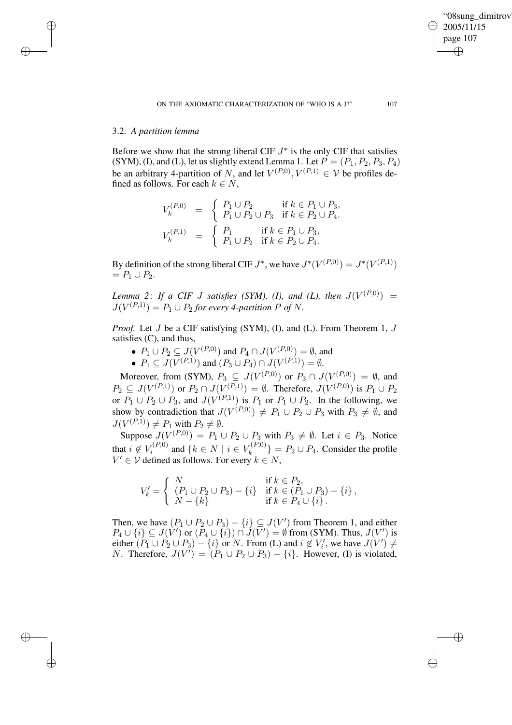✐

## 3.2. *A partition lemma*

✐

✐

✐

✐

Before we show that the strong liberal CIF  $J^*$  is the only CIF that satisfies (SYM), (I), and (L), let us slightly extend Lemma 1. Let  $P = (P_1, P_2, P_3, P_4)$ be an arbitrary 4-partition of N, and let  $V^{(P,0)}, V^{(P,1)} \in V$  be profiles defined as follows. For each  $k \in N$ ,

$$
V_k^{(P,0)} = \begin{cases} P_1 \cup P_2 & \text{if } k \in P_1 \cup P_3, \\ P_1 \cup P_2 \cup P_3 & \text{if } k \in P_2 \cup P_4. \end{cases}
$$
  

$$
V_k^{(P,1)} = \begin{cases} P_1 & \text{if } k \in P_1 \cup P_3, \\ P_1 \cup P_2 & \text{if } k \in P_2 \cup P_4. \end{cases}
$$

By definition of the strong liberal CIF  $J^*$ , we have  $J^*(V^{(P,0)}) = J^*(V^{(P,1)})$  $= P_1 \cup P_2.$ 

*Lemma* 2: *If a* CIF *J* satisfies (SYM), (I), and (L), then  $J(V^{(P,0)})$  =  $J(V^{(P,1)}) = P_1 \cup P_2$  for every 4-partition P of N.

*Proof.* Let *J* be a CIF satisfying (SYM), (I), and (L). From Theorem 1, *J* satisfies (C), and thus,

- $P_1 \cup P_2 \subseteq J(V^{(P,0)})$  and  $P_4 \cap J(V^{(P,0)}) = \emptyset$ , and
- $P_1 \subseteq J(V^{(P,1)})$  and  $(P_3 \cup P_4) \cap J(V^{(P,1)}) = \emptyset$ .

Moreover, from (SYM),  $P_3 \subseteq J(V^{(P,0)})$  or  $P_3 \cap J(V^{(P,0)}) = \emptyset$ , and  $P_2 \subseteq J(V^{(P,1)})$  or  $P_2 \cap J(V^{(P,1)}) = \emptyset$ . Therefore,  $J(V^{(P,0)})$  is  $P_1 \cup P_2$ or  $P_1 \cup P_2 \cup P_3$ , and  $J(V^{(P,1)})$  is  $P_1$  or  $P_1 \cup P_2$ . In the following, we show by contradiction that  $J(V^{(P,0)}) \neq P_1 \cup P_2 \cup P_3$  with  $P_3 \neq \emptyset$ , and  $J(V^{(P,1)}) \neq P_1$  with  $P_2 \neq \emptyset$ .

Suppose  $J(V^{(P,0)}) = P_1 \cup P_2 \cup P_3$  with  $P_3 \neq \emptyset$ . Let  $i \in P_3$ . Notice that  $i \notin V_i^{(P,0)}$  $\mathcal{F}_i^{(P,0)}$  and  $\{k \in N \mid i \in V_k^{(P,0)}\}$  ${k^{(P,0)} \brace k} = P_2 \cup P_4$ . Consider the profile  $V' \in V$  defined as follows. For every  $k \in N$ ,

$$
V'_{k} = \begin{cases} N & \text{if } k \in P_{2}, \\ (P_{1} \cup P_{2} \cup P_{3}) - \{i\} & \text{if } k \in (P_{1} \cup P_{3}) - \{i\}, \\ N - \{k\} & \text{if } k \in P_{4} \cup \{i\}. \end{cases}
$$

Then, we have  $(P_1 \cup P_2 \cup P_3) - \{i\} \subseteq J(V')$  from Theorem 1, and either  $P_4 \cup \{i\} \subseteq J(V')$  or  $(P_4 \cup \{i\}) \cap J(V') = \emptyset$  from (SYM). Thus,  $J(V')$  is either  $(P_1 \cup P_2 \cup P_3) - \{i\}$  or N. From (L) and  $i \notin V'_i$ , we have  $J(V') \neq$ *N*. Therefore,  $J(V') = (P_1 \cup P_2 \cup P_3) - \{i\}$ . However, (I) is violated,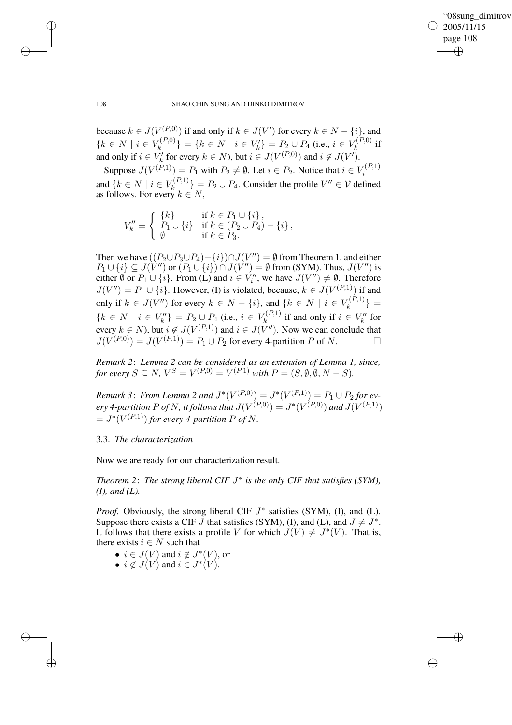✐

#### 108 SHAO CHIN SUNG AND DINKO DIMITROV

because  $k \in J(V^{(P,0)})$  if and only if  $k \in J(V')$  for every  $k \in N - \{i\}$ , and  ${k \in N \mid i \in V_k^{(P,0)}}$  ${k<sup>(P,0)</sup> \choose k} = {k \in N \mid i \in V'_k} = P_2 \cup P_4$  (i.e.,  $i \in V_k^{(P,0)}$  $\boldsymbol{h}^{(F,0)}$  if and only if  $i \in V'_k$  for every  $k \in N$ ), but  $i \in J(V^{(P,0)})$  and  $i \notin J(V')$ .

Suppose  $J(V^{(P,1)}) = P_1$  with  $P_2 \neq \emptyset$ . Let  $i \in P_2$ . Notice that  $i \in V_i^{(P,1)}$ i and  $\{k \in N \mid i \in V_k^{(P,1)}\}$  ${k \choose k} = P_2 \cup P_4$ . Consider the profile  $V'' \in V$  defined as follows. For every  $k \in N$ ,

$$
V''_k = \begin{cases} \{k\} & \text{if } k \in P_1 \cup \{i\}, \\ P_1 \cup \{i\} & \text{if } k \in (P_2 \cup P_4) - \{i\}, \\ \emptyset & \text{if } k \in P_3. \end{cases}
$$

Then we have  $((P_2 \cup P_3 \cup P_4) - \{i\}) \cap J(V'') = \emptyset$  from Theorem 1, and either  $P_1 \cup \{i\} \subseteq J(V'')$  or  $(P_1 \cup \{i\}) \cap J(V'') = \emptyset$  from (SYM). Thus,  $J(V'')$  is either  $\emptyset$  or  $P_1 \cup \{i\}$ . From (L) and  $i \in V_i''$ , we have  $J(V'') \neq \emptyset$ . Therefore  $J(V'') = P_1 \cup \{i\}$ . However, (I) is violated, because,  $k \in J(V^{(P,1)})$  if and only if  $k \in J(V'')$  for every  $k \in N - \{i\}$ , and  $\{k \in N \mid i \in V_k^{(P,1)}\}$  ${k^{(F,1)} \brace k} =$  ${k \in N \mid i \in V''_k} = P_2 \cup P_4$  (i.e.,  $i \in V_k^{(P,1)}$  $\mathcal{U}_k^{(P,1)}$  if and only if  $i \in V_k''$  for every  $k \in N$ ), but  $i \notin J(V^{(P,1)})$  and  $i \in J(V'')$ . Now we can conclude that  $J(V^{(P,0)}) = J(V^{(P,1)}) = P_1 \cup P_2$  for every 4-partition P of N.

*Remark 2*: *Lemma 2 can be considered as an extension of Lemma 1, since, for every*  $S \subseteq N$ ,  $V^S = V^{(P,0)} = V^{(P,1)}$  *with*  $P = (S, \emptyset, \emptyset, N - S)$ *.* 

*Remark* 3: *From Lemma* 2 *and*  $J^*(V^{(P,0)}) = J^*(V^{(P,1)}) = P_1 \cup P_2$  *for every* 4-partition P of N, it follows that  $J(V^{(P,0)}) = J^*(V^{(P,0)})$  and  $J(V^{(P,1)})$  $= J^*(V^{(P,1)})$  *for every* 4-partition P of N.

## 3.3. *The characterization*

Now we are ready for our characterization result.

*Theorem 2*: *The strong liberal CIF* J ∗ *is the only CIF that satisfies (SYM), (I), and (L).*

*Proof.* Obviously, the strong liberal CIF  $J^*$  satisfies (SYM), (I), and (L). Suppose there exists a CIF  $\bar{J}$  that satisfies (SYM), (I), and (L), and  $J \neq J^*$ . It follows that there exists a profile V for which  $J(V) \neq J^*(V)$ . That is, there exists  $i \in N$  such that

- $i \in J(V)$  and  $i \notin J^*(V)$ , or
- $i \notin J(V)$  and  $i \in J^*(V)$ .

✐

✐

✐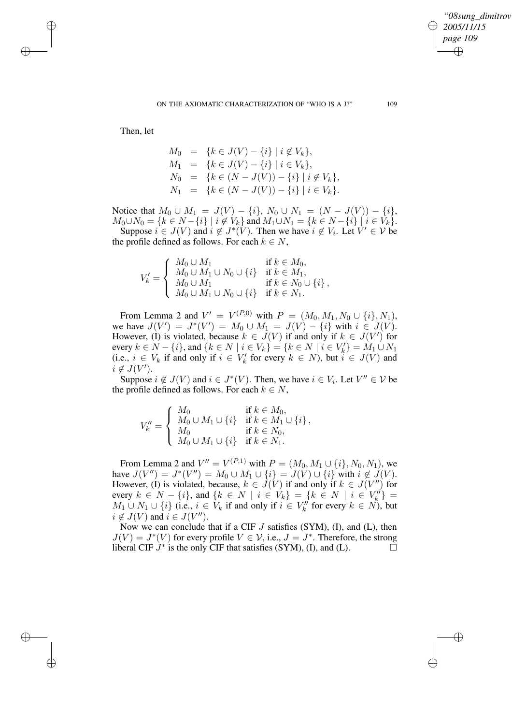✐

Then, let

✐

✐

✐

✐

$$
M_0 = \{k \in J(V) - \{i\} \mid i \notin V_k\},\
$$
  
\n
$$
M_1 = \{k \in J(V) - \{i\} \mid i \in V_k\},\
$$
  
\n
$$
N_0 = \{k \in (N - J(V)) - \{i\} \mid i \notin V_k\},\
$$
  
\n
$$
N_1 = \{k \in (N - J(V)) - \{i\} \mid i \in V_k\}.
$$

Notice that  $M_0 \cup M_1 = J(V) - \{i\}, N_0 \cup N_1 = (N - J(V)) - \{i\},$  $M_0 \cup N_0 = \{k \in N - \{i\} \mid i \notin V_k\}$  and  $M_1 \cup N_1 = \{k \in N - \{i\} \mid i \in V_k\}.$ Suppose  $i \in J(V)$  and  $i \notin J^*(V)$ . Then we have  $i \notin V_i$ . Let  $V' \in V$  be the profile defined as follows. For each  $k \in N$ ,

$$
V'_{k} = \begin{cases} M_{0} \cup M_{1} & \text{if } k \in M_{0}, \\ M_{0} \cup M_{1} \cup N_{0} \cup \{i\} & \text{if } k \in M_{1}, \\ M_{0} \cup M_{1} & \text{if } k \in N_{0} \cup \{i\}, \\ M_{0} \cup M_{1} \cup N_{0} \cup \{i\} & \text{if } k \in N_{1}. \end{cases}
$$

From Lemma 2 and  $V' = V^{(P,0)}$  with  $P = (M_0, M_1, N_0 \cup \{i\}, N_1)$ , we have  $J(V') = J^*(V') = M_0 \cup M_1 = J(V) - \{i\}$  with  $i \in J(V)$ . However, (I) is violated, because  $k \in J(V)$  if and only if  $k \in J(V')$  for every  $k \in N - \{i\}$ , and  $\{k \in N \mid i \in V_k\} = \{k \in N \mid i \in V'_k\} = M_1 \cup N_1$ (i.e.,  $i \in V_k$  if and only if  $i \in V'_k$  for every  $k \in N$ ), but  $i \in J(V)$  and  $i \notin J(V')$ .

Suppose  $i \notin J(V)$  and  $i \in J^*(V)$ . Then, we have  $i \in V_i$ . Let  $V'' \in V$  be the profile defined as follows. For each  $k \in N$ ,

$$
V''_k = \begin{cases} M_0 & \text{if } k \in M_0, \\ M_0 \cup M_1 \cup \{i\} & \text{if } k \in M_1 \cup \{i\} \\ M_0 & \text{if } k \in N_0, \\ M_0 \cup M_1 \cup \{i\} & \text{if } k \in N_1. \end{cases}
$$

From Lemma 2 and  $V'' = V^{(P,1)}$  with  $P = (M_0, M_1 \cup \{i\}, N_0, N_1)$ , we have  $J(V'') = J^*(V'') = M_0 \cup M_1 \cup \{i\} = J(V) \cup \{i\}$  with  $i \notin J(V)$ . However, (I) is violated, because,  $k \in \tilde{J}(V)$  if and only if  $k \in J(V'')$  for every  $k \in N - \{i\}$ , and  $\{k \in N \mid i \in V_k\} = \{k \in N \mid i \in V''_k\} =$  $M_1 \cup N_1 \cup \{i\}$  (i.e.,  $i \in V_k$  if and only if  $i \in V_k''$  for every  $k \in N$ ), but  $i \notin J(V)$  and  $i \in J(V'')$ .

Now we can conclude that if a CIF  $J$  satisfies (SYM), (I), and (L), then  $J(V) = J^*(V)$  for every profile  $V \in V$ , i.e.,  $J = J^*$ . Therefore, the strong liberal CIF  $J^*$  is the only CIF that satisfies (SYM), (I), and (L).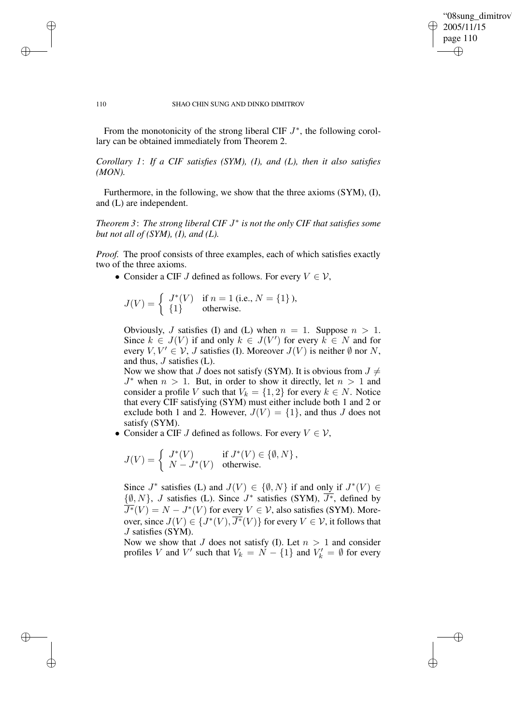✐

#### 110 SHAO CHIN SUNG AND DINKO DIMITROV

✐

✐

✐

✐

From the monotonicity of the strong liberal CIF  $J^*$ , the following corollary can be obtained immediately from Theorem 2.

*Corollary 1*: *If a CIF satisfies (SYM), (I), and (L), then it also satisfies (MON).*

Furthermore, in the following, we show that the three axioms (SYM), (I), and (L) are independent.

*Theorem 3*: *The strong liberal CIF* J ∗ *is not the only CIF that satisfies some but not all of (SYM), (I), and (L).*

*Proof.* The proof consists of three examples, each of which satisfies exactly two of the three axioms.

• Consider a CIF *J* defined as follows. For every  $V \in V$ ,

$$
J(V) = \begin{cases} J^*(V) & \text{if } n = 1 \text{ (i.e., } N = \{1\}), \\ \{1\} & \text{otherwise.} \end{cases}
$$

Obviously, J satisfies (I) and (L) when  $n = 1$ . Suppose  $n > 1$ . Since  $k \in J(V)$  if and only  $k \in J(V')$  for every  $k \in N$  and for every  $V, V' \in \mathcal{V}, J$  satisfies (I). Moreover  $J(V)$  is neither  $\emptyset$  nor N, and thus, J satisfies (L).

Now we show that J does not satisfy (SYM). It is obvious from  $J \neq$  $J^*$  when  $n > 1$ . But, in order to show it directly, let  $n > 1$  and consider a profile V such that  $V_k = \{1, 2\}$  for every  $k \in N$ . Notice that every CIF satisfying (SYM) must either include both 1 and 2 or exclude both 1 and 2. However,  $J(V) = \{1\}$ , and thus J does not satisfy (SYM).

• Consider a CIF *J* defined as follows. For every  $V \in V$ ,

$$
J(V) = \begin{cases} J^*(V) & \text{if } J^*(V) \in \{\emptyset, N\}, \\ N - J^*(V) & \text{otherwise.} \end{cases}
$$

Since  $J^*$  satisfies (L) and  $J(V) \in \{ \emptyset, N \}$  if and only if  $J^*(V) \in$  $\{\emptyset, N\}$ , *J* satisfies (L). Since  $J^*$  satisfies (SYM),  $\overline{J^*}$ , defined by  $\overline{J^*}(V) = N - J^*(V)$  for every  $V \in V$ , also satisfies (SYM). Moreover, since  $J(V) \in \{J^*(V), \overline{J^*}(V)\}$  for every  $V \in \mathcal{V}$ , it follows that J satisfies (SYM).

Now we show that J does not satisfy (I). Let  $n > 1$  and consider profiles V and V' such that  $V_k = \dot{N} - \{1\}$  and  $V'_k = \emptyset$  for every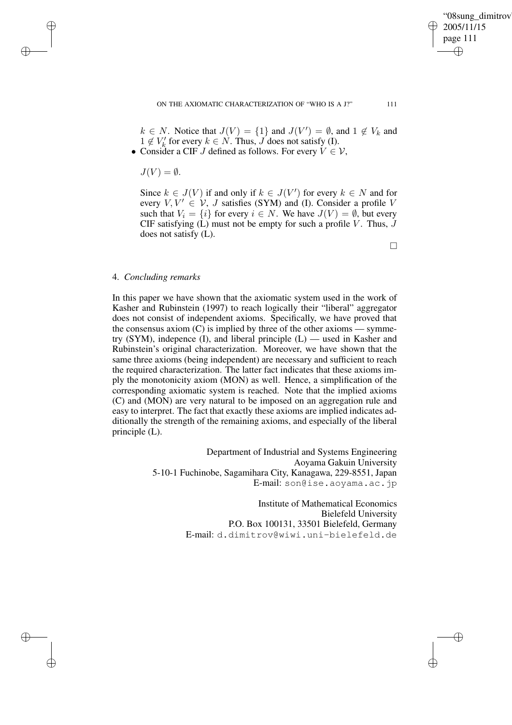"08sung\_dimitrov" 2005/11/15 page 111 ✐ ✐

✐

✐

 $k \in N$ . Notice that  $J(V) = \{1\}$  and  $J(V') = \emptyset$ , and  $1 \notin V_k$  and  $1 \notin V'_{k}$  for every  $k \in N$ . Thus,  $J$  does not satisfy (I).

• Consider a CIF J defined as follows. For every  $V \in V$ ,

 $J(V) = \emptyset$ .

✐

✐

✐

✐

Since  $k \in J(V)$  if and only if  $k \in J(V')$  for every  $k \in N$  and for every  $V, V' \in V$ , J satisfies (SYM) and (I). Consider a profile V such that  $V_i = \{i\}$  for every  $i \in N$ . We have  $J(V) = \emptyset$ , but every CIF satisfying  $(L)$  must not be empty for such a profile V. Thus, J does not satisfy (L).

 $\Box$ 

### 4. *Concluding remarks*

In this paper we have shown that the axiomatic system used in the work of Kasher and Rubinstein (1997) to reach logically their "liberal" aggregator does not consist of independent axioms. Specifically, we have proved that the consensus axiom  $(C)$  is implied by three of the other axioms — symmetry (SYM), indepence  $(I)$ , and liberal principle  $(L)$  — used in Kasher and Rubinstein's original characterization. Moreover, we have shown that the same three axioms (being independent) are necessary and sufficient to reach the required characterization. The latter fact indicates that these axioms imply the monotonicity axiom (MON) as well. Hence, a simplification of the corresponding axiomatic system is reached. Note that the implied axioms (C) and (MON) are very natural to be imposed on an aggregation rule and easy to interpret. The fact that exactly these axioms are implied indicates additionally the strength of the remaining axioms, and especially of the liberal principle (L).

> Department of Industrial and Systems Engineering Aoyama Gakuin University 5-10-1 Fuchinobe, Sagamihara City, Kanagawa, 229-8551, Japan E-mail: son@ise.aoyama.ac.jp

> > Institute of Mathematical Economics Bielefeld University P.O. Box 100131, 33501 Bielefeld, Germany E-mail: d.dimitrov@wiwi.uni-bielefeld.de